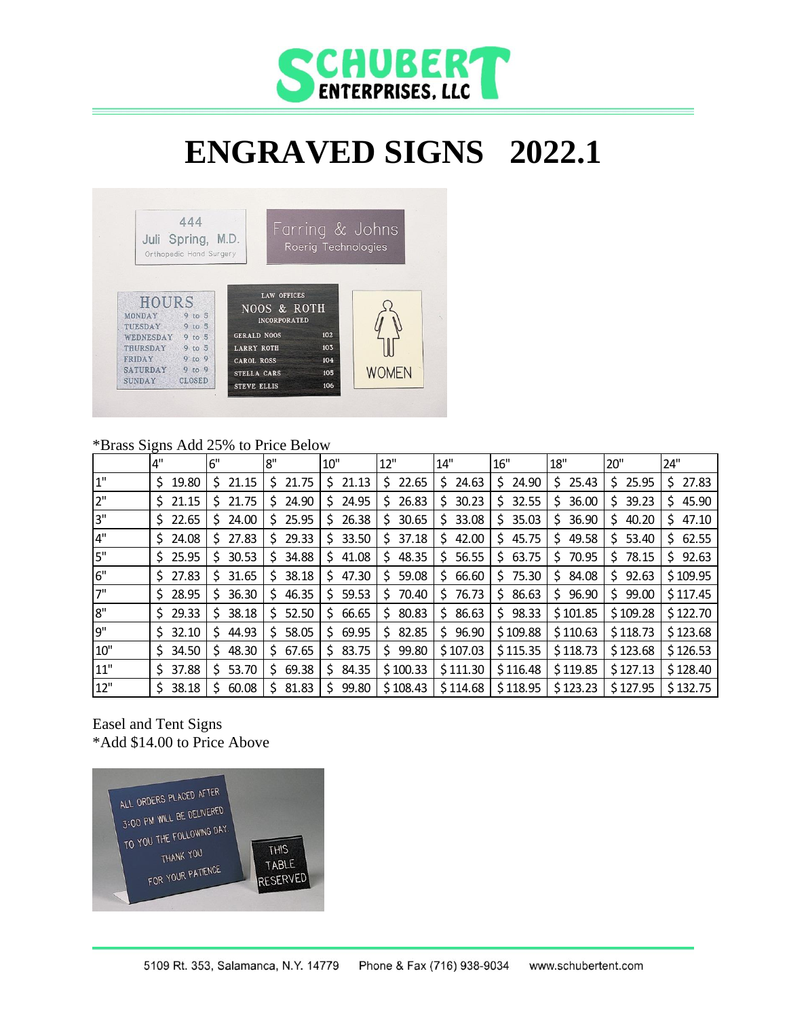

# **ENGRAVED SIGNS 2022.1**



#### \*Brass Signs Add 25% to Price Below

|       | 4"          | 6"          | 8"         | $10$ "      | 12"         | 14"         | 16"         | 18"        | 20"         | 24"         |
|-------|-------------|-------------|------------|-------------|-------------|-------------|-------------|------------|-------------|-------------|
| $1"$  | 19.80<br>S. | 21.15       | 21.75<br>S | 21.13<br>S  | 22.65<br>S  | 24.63<br>S. | 24.90<br>S. | 25.43<br>S | 25.95<br>S. | 27.83<br>S. |
| 2"    | 21.15<br>S. | 21.75       | 24.90      | 24.95<br>S  | 26.83<br>S  | 30.23<br>S. | 32.55<br>S  | 36.00<br>S | 39.23<br>S. | 45.90<br>S  |
| 3"    | \$22.65     | 24.00       | 25.95      | 26.38<br>S  | 30.65<br>S  | 33.08<br>\$ | 35.03<br>S. | 36.90<br>S | Ś.<br>40.20 | 47.10<br>S  |
| $4"$  | 24.08<br>S. | 27.83       | 29.33<br>S | 33.50<br>S  | 37.18<br>S  | 42.00<br>Ś. | 45.75<br>S. | 49.58<br>S | Ś.<br>53.40 | 62.55<br>S. |
| 5"    | 25.95<br>S. | 30.53       | 34.88<br>S | 41.08<br>S  | 48.35<br>S  | 56.55<br>S  | 63.75<br>S. | 70.95<br>S | 78.15<br>S  | 92.63<br>S  |
| 6"    | 27.83<br>S. | 31.65       | 38.18      | 47.30<br>S  | 59.08<br>S. | 66.60<br>S. | 75.30<br>S. | 84.08<br>S | 92.63<br>S. | \$109.95    |
| 7"    | 28.95<br>S. | 36.30       | 46.35<br>S | 59.53<br>S. | 70.40<br>S  | 76.73<br>S. | 86.63<br>S. | 96.90<br>S | 99.00<br>S. | \$117.45    |
| 8"    | 29.33<br>S. | 38.18       | 52.50<br>S | 66.65<br>S  | 80.83<br>S. | 86.63<br>S. | \$98.33     | \$101.85   | \$109.28    | \$122.70    |
| 9"    | 32.10<br>S. | 44.93       | 58.05<br>S | 69.95<br>S  | 82.85<br>S. | 96.90<br>S. | \$109.88    | \$110.63   | \$118.73    | \$123.68    |
| $10"$ | 34.50<br>S. | 48.30<br>S. | 67.65<br>S | 83.75<br>S  | 99.80<br>S  | \$107.03    | \$115.35    | \$118.73   | \$123.68    | \$126.53    |
| 11"   | 37.88<br>S. | 53.70       | 69.38<br>S | 84.35<br>S  | \$100.33    | \$111.30    | \$116.48    | \$119.85   | \$127.13    | \$128.40    |
| 12"   | 38.18<br>S. | 60.08       | 81.83<br>S | 99.80<br>S  | \$108.43    | \$114.68    | \$118.95    | \$123.23   | \$127.95    | \$132.75    |

#### Easel and Tent Signs \*Add \$14.00 to Price Above

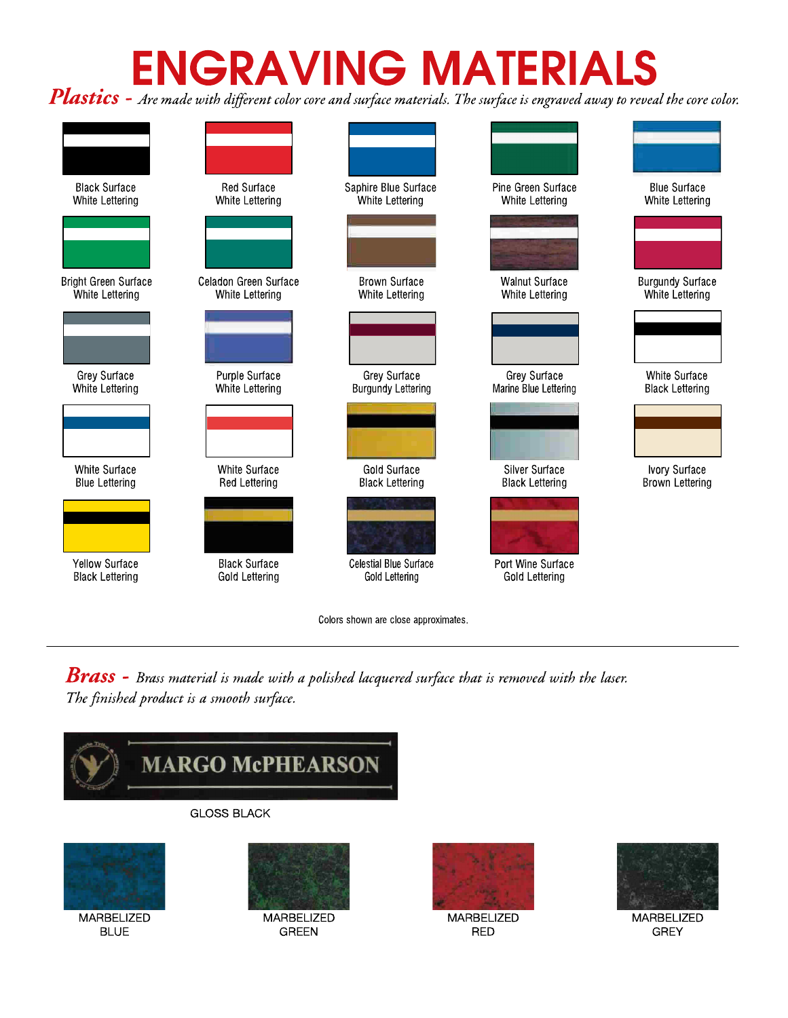# **ENGRAVING MATERIALS**

Plastics - Are made with different color core and surface materials. The surface is engraved away to reveal the core color.



**Brass** - Brass material is made with a polished lacquered surface that is removed with the laser. The finished product is a smooth surface.





**MARBELIZED RED** 



MARBELIZED **GREY**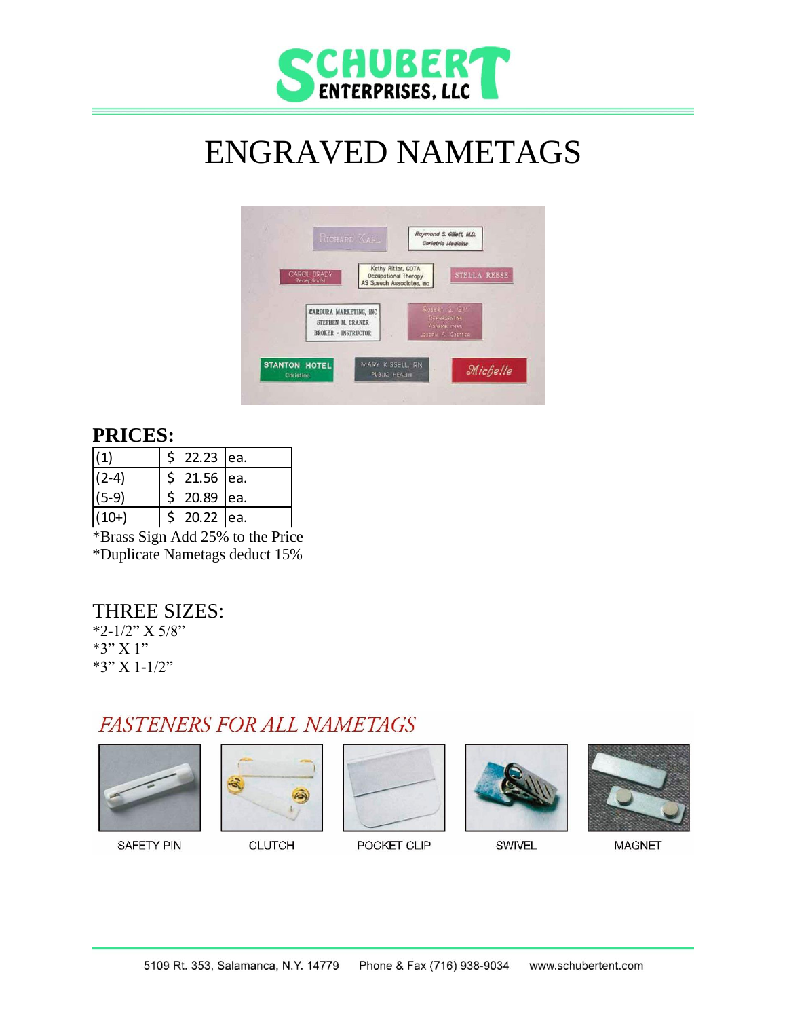

# ENGRAVED NAMETAGS



#### **PRICES:**

| $\vert(1)$ | 22.23 ea.    |  |
|------------|--------------|--|
| $(2-4)$    | $$21.56$ ea. |  |
| $(5-9)$    | \$ 20.89 ea. |  |
| $(10+)$    | 20.22 ea.    |  |

\*Brass Sign Add 25% to the Price \*Duplicate Nametags deduct 15%

#### THREE SIZES:

\*2-1/2" X 5/8" \*3" X 1" \*3" X 1-1/2"

## **FASTENERS FOR ALL NAMETAGS**











**SAFETY PIN** 

**CLUTCH** 

POCKET CLIP

SWIVEL

**MAGNET** 

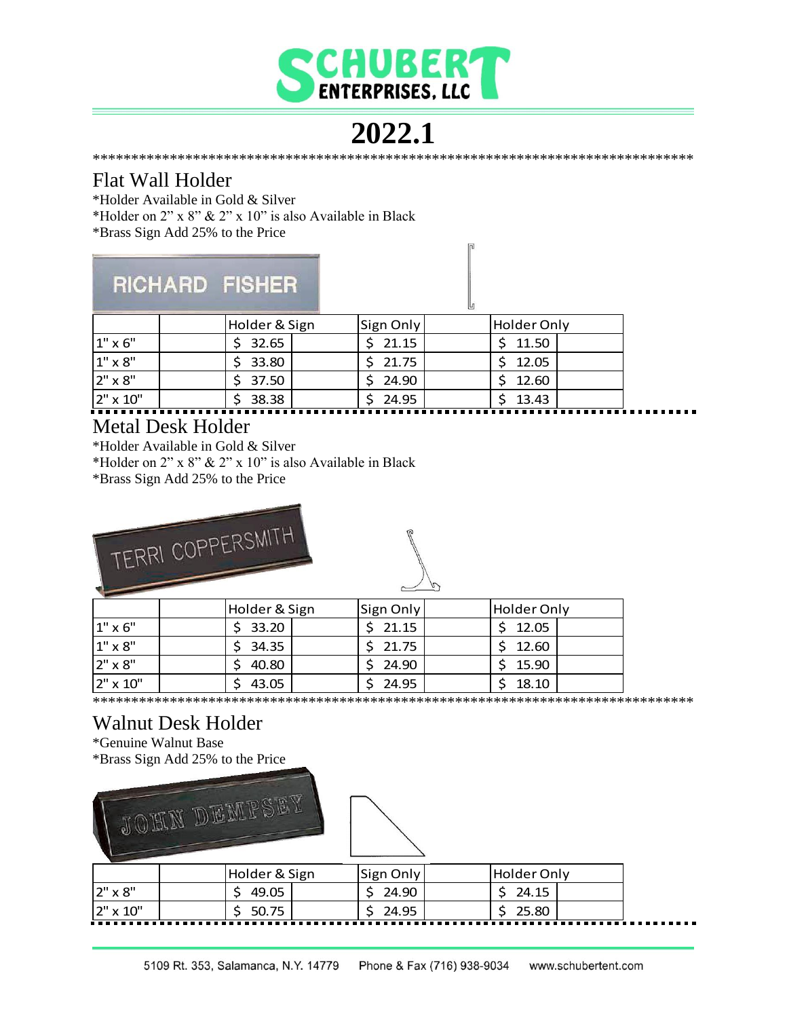![](_page_3_Picture_0.jpeg)

### 2022.1

#### Flat Wall Holder

\*Holder Available in Gold & Silver

\*Holder on 2" x 8" & 2" x 10" is also Available in Black

\*Brass Sign Add 25% to the Price

# RICHARD FISHER

|                 | Holder & Sign | Sign Only | Holder Only |  |
|-----------------|---------------|-----------|-------------|--|
| $1" \times 6"$  | \$32.65       | \$21.15   | \$11.50     |  |
| $1" \times 8"$  | 33.80         | \$21.75   | \$12.05     |  |
| 2" x 8"         | \$37.50       | 24.90     | \$12.60     |  |
| $2" \times 10"$ | 38.38         | 24.95     | 13.43       |  |

#### **Metal Desk Holder**

\*Holder Available in Gold & Silver

\*Holder on 2" x 8" & 2" x 10" is also Available in Black

\*Brass Sign Add 25% to the Price

![](_page_3_Picture_12.jpeg)

|                | Holder & Sign | Sign Only | Holder Only |
|----------------|---------------|-----------|-------------|
| $1" \times 6"$ | 33.20         | 21.15     | 12.05       |
| $1" \times 8"$ | 34.35         | 21.75     | 12.60       |
| 2" x 8"        | 40.80         | 24.90     | 15.90       |
| 2" x 10"       | 43.05         | 24.95     | 18.10       |

## Walnut Desk Holder

\*Genuine Walnut Base

\*Brass Sign Add 25% to the Price

![](_page_3_Picture_17.jpeg)

|                | Holder & Sign | Sign Only | Holder Onlv |
|----------------|---------------|-----------|-------------|
| $2" \times 8"$ | 49.05         | 24.90     | 24.15       |
| 2" x 10"       | 50.75         | 24.95     | 25.80       |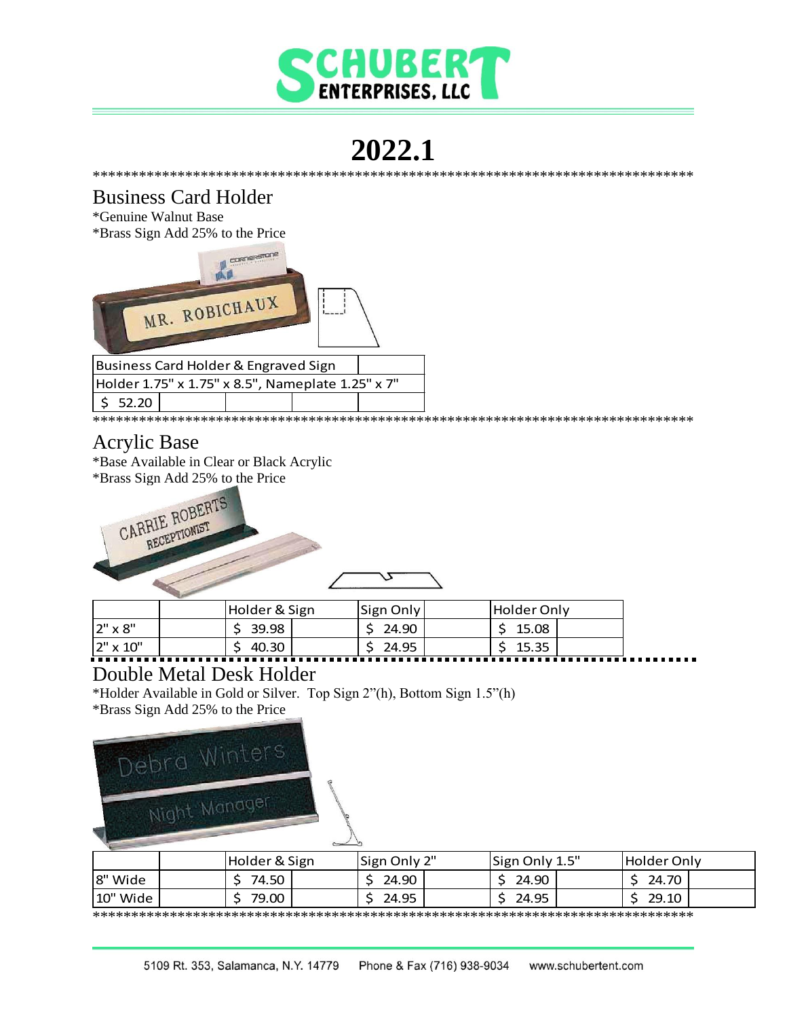![](_page_4_Picture_0.jpeg)

#### 2022.1 \*\*\*\*\*\*\*\*\*\*\*\*\*\*\*\*\*\*\*\*\*\*\*\*\*\*\*\*\*\*\*\*\*\*\*\*

#### **Business Card Holder**

\*Genuine Walnut Base \*Brass Sign Add 25% to the Price

![](_page_4_Picture_4.jpeg)

#### **Acrylic Base**

\*Base Available in Clear or Black Acrylic

\*Brass Sign Add 25% to the Price

CARRIE ROBERTS RECEPTIONIST

|                | Holder & Sign |  | Sign Only |       | lHolder Onlv |       |  |
|----------------|---------------|--|-----------|-------|--------------|-------|--|
| $2" \times 8"$ | 39.98         |  |           | 24.90 |              | 15.08 |  |
| 2" x 10"       | 40.30         |  |           | 24.95 |              | 15.35 |  |

#### **Double Metal Desk Holder**

\*Holder Available in Gold or Silver. Top Sign 2"(h), Bottom Sign 1.5"(h) \*Brass Sign Add 25% to the Price

![](_page_4_Picture_13.jpeg)

|          | Holder & Sign | Sign Only 2" | Sign Only 1.5" | <b>Holder Only</b> |  |
|----------|---------------|--------------|----------------|--------------------|--|
| 8" Wide  | 74.50         | 24.90        | 24.90          | 24.70              |  |
| 10" Wide | 79.00         | 24.95        | 24.95          | 29.10              |  |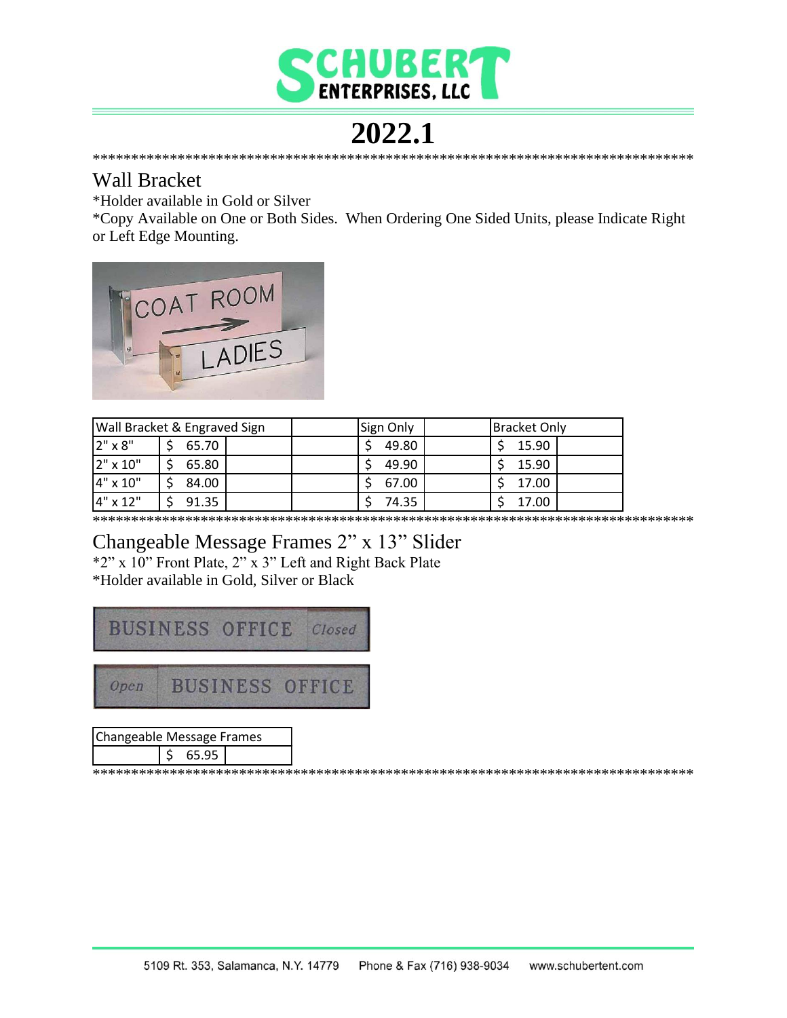![](_page_5_Picture_0.jpeg)

#### 2022.1

#### **Wall Bracket**

\*Holder available in Gold or Silver

\*Copy Available on One or Both Sides. When Ordering One Sided Units, please Indicate Right or Left Edge Mounting.

![](_page_5_Picture_5.jpeg)

|          | <b>Wall Bracket &amp; Engraved Sign</b> | Sign Only | <b>Bracket Only</b> |
|----------|-----------------------------------------|-----------|---------------------|
| 2" x 8"  | 65.70                                   | 49.80     | 15.90               |
| 2" x 10" | 65.80                                   | 49.90     | 15.90               |
| 4" x 10" | 84.00                                   | 67.00     | 17.00               |
| 4" x 12" | 91.35                                   | 74.35     | 17.00               |

#### Changeable Message Frames 2" x 13" Slider

\*2" x 10" Front Plate, 2" x 3" Left and Right Back Plate \*Holder available in Gold, Silver or Black

![](_page_5_Picture_10.jpeg)

| Changeable Message Frames |  |        |  |  |  |
|---------------------------|--|--------|--|--|--|
|                           |  | 565.95 |  |  |  |